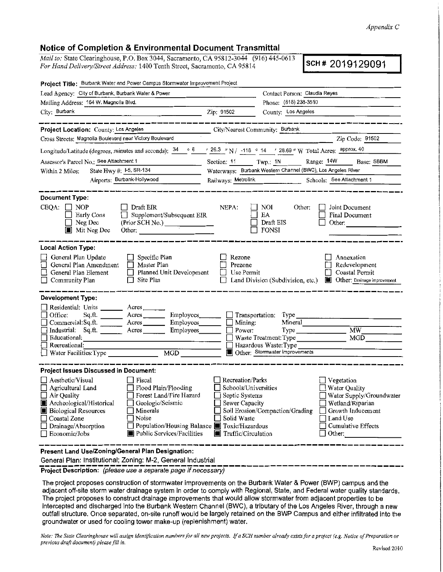*Appendix C* 

## Notice of Completion & Environmental Document Transmittal

*Mail to:* State Clearinghouse, P.O. Box 3044, Sacramento, CA 95812-3044 (916) 445-0613 *Mail to:* State Clearinghouse, P.O. Box 3044, Sacramento, CA 95812-3044 (910) 445-0613<br>For Hand Delivery/Street Address: 1400 Tenth Street, Sacramento, CA 95814

| Project Title: Burbank Water and Power Campus Stormwater Improvement Project                                                                                                                                                                                                                                                                                                                                                                                                                                                                                                                                                                                                                                                                                                                    |                                                                                                                      |                                                                                                         |                                                                                                                                              |  |
|-------------------------------------------------------------------------------------------------------------------------------------------------------------------------------------------------------------------------------------------------------------------------------------------------------------------------------------------------------------------------------------------------------------------------------------------------------------------------------------------------------------------------------------------------------------------------------------------------------------------------------------------------------------------------------------------------------------------------------------------------------------------------------------------------|----------------------------------------------------------------------------------------------------------------------|---------------------------------------------------------------------------------------------------------|----------------------------------------------------------------------------------------------------------------------------------------------|--|
| Lead Agency: City of Burbank, Burbank Water & Power                                                                                                                                                                                                                                                                                                                                                                                                                                                                                                                                                                                                                                                                                                                                             |                                                                                                                      | Contact Person: Claudia Reyes                                                                           |                                                                                                                                              |  |
| Mailing Address: 164 W. Magnolla Blvd.                                                                                                                                                                                                                                                                                                                                                                                                                                                                                                                                                                                                                                                                                                                                                          |                                                                                                                      | Phone: (818) 238-3510                                                                                   |                                                                                                                                              |  |
|                                                                                                                                                                                                                                                                                                                                                                                                                                                                                                                                                                                                                                                                                                                                                                                                 | Zip: 91502                                                                                                           | County; Los Angeles                                                                                     |                                                                                                                                              |  |
|                                                                                                                                                                                                                                                                                                                                                                                                                                                                                                                                                                                                                                                                                                                                                                                                 |                                                                                                                      |                                                                                                         | _______________                                                                                                                              |  |
| Froject Location: County: Los Angeles<br>Cross Streets: Magnolia Boulevard near Victory Boulevard<br>Cross Streets: Magnolia Boulevard near Victory Boulevard                                                                                                                                                                                                                                                                                                                                                                                                                                                                                                                                                                                                                                   |                                                                                                                      |                                                                                                         |                                                                                                                                              |  |
|                                                                                                                                                                                                                                                                                                                                                                                                                                                                                                                                                                                                                                                                                                                                                                                                 |                                                                                                                      |                                                                                                         | Zip Code: 91502                                                                                                                              |  |
| Longitude/Latitude (degrees, minutes and seconds): $\frac{34}{9}$ 6 $\frac{1}{26.3}$ "N / -118 ° 14 ' 28.69 "W Total Acros: approx. 40                                                                                                                                                                                                                                                                                                                                                                                                                                                                                                                                                                                                                                                          |                                                                                                                      |                                                                                                         |                                                                                                                                              |  |
| Assessor's Parcel No.: See Attachment 1                                                                                                                                                                                                                                                                                                                                                                                                                                                                                                                                                                                                                                                                                                                                                         |                                                                                                                      |                                                                                                         | Section: 11 Twp.: 1N Range: 14W Base: SBBM                                                                                                   |  |
| State Hwy #: $1-5$ , SR-134<br>Within 2 Miles:                                                                                                                                                                                                                                                                                                                                                                                                                                                                                                                                                                                                                                                                                                                                                  |                                                                                                                      | Waterways: Burbank Western Channel (BWC), Los Angeles River                                             |                                                                                                                                              |  |
| Airports: Burbank-Hollywood                                                                                                                                                                                                                                                                                                                                                                                                                                                                                                                                                                                                                                                                                                                                                                     |                                                                                                                      |                                                                                                         | Railways: Metrolink Schools: See Atlachment 1                                                                                                |  |
| <b>Document Type:</b><br>$CEQA: \Box NOP$<br>    Draft EIR<br>$\Box$ Supplement/Subsequent EIR<br>$\Box$ Early Cons<br>$\Box$ Neg Dec<br>(Prior SCH No.)<br>Mit Neg Dec<br>Other:                                                                                                                                                                                                                                                                                                                                                                                                                                                                                                                                                                                                               | NEPA.                                                                                                                | Other:<br>NOI.<br>EA<br>Draft EIS<br>FONSI                                                              | Joint Document<br>Final Document<br>Other:                                                                                                   |  |
| <b>Local Action Type:</b><br>$\Box$ Specific Plan<br>General Plan Update<br>General Plan Amendment<br>$\Box$ Master Plan<br>Planned Unit Development<br>General Plan Element<br>$\Box$ Site Plan<br>Community Plan                                                                                                                                                                                                                                                                                                                                                                                                                                                                                                                                                                              | Rezone<br>Prezone<br>$\Box$<br>Use Permit                                                                            | Land Division (Subdivision, etc.)                                                                       | Annexation<br>Redevelopment<br>Coastal Permit<br><b>Other</b> , Drainage improvement                                                         |  |
| <b>Development Type:</b><br>Residential: Units _______ Acres ______<br>$Sq$ .ft. $\qquad \qquad \text{Acres}$<br>Employees<br>Office.<br>Employees_______<br>Commercial: Sq. ft. $\frac{1}{\sqrt{1-\frac{1}{1-\frac{1}{1-\frac{1}{1-\frac{1}{1-\frac{1}{1-\frac{1}{1-\frac{1}{1-\frac{1}{1-\frac{1}{1-\frac{1}{1-\frac{1}{1-\frac{1}{1-\frac{1}{1-\frac{1}{1-\frac{1}{1-\frac{1}{1-\frac{1}{1-\frac{1}{1-\frac{1}{1-\frac{1}{1-\frac{1}{1-\frac{1}{1-\frac{1}{1-\frac{1}{1-\frac{1}{1-\frac{1}{1-\frac{1}{1-\frac{1}{1-\frac{1}{1-\frac{1}{1-\frac{1}{1-\frac{1}{$<br>Industrial: Sq.ft. _______ Acres _______ Employees_______<br>$\Box$ Educational:<br><u> 1980 - Johann Barbara, martin amerikan perang pengaran pengaran pengaran pengaran pengaran pengaran pengaran</u><br>Recreational: | $\Box$ Mining:<br>$\Box$ Power:                                                                                      | $\Box$ Transportation: Type $\Box$<br>Mineral<br>Type<br>Waste Treatment: Type<br>Hazardous Waste: Type | MW<br>MGD                                                                                                                                    |  |
|                                                                                                                                                                                                                                                                                                                                                                                                                                                                                                                                                                                                                                                                                                                                                                                                 |                                                                                                                      | Other: Stormwater Improvements                                                                          |                                                                                                                                              |  |
| <b>Project Issues Discussed in Document:</b><br>$\Box$ Aesthetic/Visual<br>$\Box$ Fiscal                                                                                                                                                                                                                                                                                                                                                                                                                                                                                                                                                                                                                                                                                                        | <b>Recreation/Parks</b>                                                                                              |                                                                                                         | $\Box$ Vegetation                                                                                                                            |  |
| □ Agricultural Land       □ Flood Plain/Flooding<br>Forest Land/Fire Hazard<br>$\Box$ Air Quality<br>Archeological/Historical<br>Geologic/Seismic<br>Minerals<br><b>Biological Resources</b><br>Noise<br>Coastal Zone<br>Population/Housing Balance Toxic/Hazardous<br>Drainage/Absorption<br>Public Services/Facilities<br>Economic/Jobs                                                                                                                                                                                                                                                                                                                                                                                                                                                       | Schools/Universities<br>Septic Systems<br>$\Box$ Sewer Capacity<br>Solid Waste<br>$\blacksquare$ Traffic/Circulation | Soil Erosion/Compaction/Grading                                                                         | Water Quality<br>Water Supply/Groundwater<br>$\Box$ Wetland/Riparian<br>Growth Inducement<br>Land Use<br>Cumulative Effects<br>$\Box$ Other: |  |
| Present Land Use/Zoning/General Plan Designation:<br>General Plan: Institutional; Zoning: M-2, General Industrial                                                                                                                                                                                                                                                                                                                                                                                                                                                                                                                                                                                                                                                                               |                                                                                                                      |                                                                                                         |                                                                                                                                              |  |

The project proposes construction of stormwater improvements on the Burbank Water & Power (BWP) campus and the adjacent off-site storm water drainage system in order to comply with Regional, State, and Federal water quality standards. The project proposes to construct drainage improvements that would allow stormwater from adjacent properties to be intercepted and discharged into the Burbank Western Channel (BWC), a tributary of the Los Angeles River, through a new outfall structure. Once separated, on-site runoff would be largely retained on the BWP Campus and either infiltrated into the groundwater or used for cooling tower make-up (replenishment) water.

Note: The State Clearinghouse will assign identification numbers for all new projects. If a SCH number already exists for a project (e.g. Notice of Preparation or *previous draft document) please fill in,*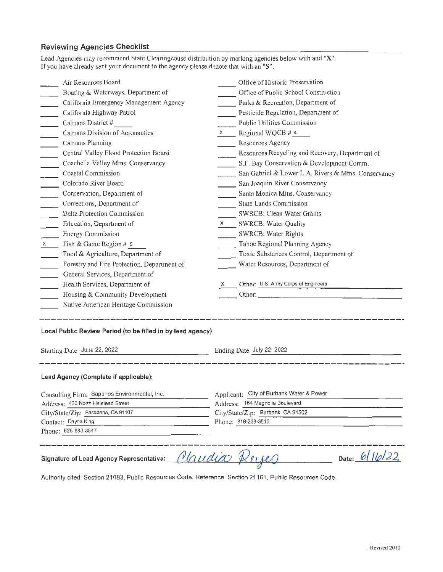# **Reviewing Agencies Checklist**

| Lead Agencies may recommend State Clearinghouse distribution by marking agencies below with and "X".<br>If you have already sent your document to the agency please denote that with an "S". |                                                     |  |  |
|----------------------------------------------------------------------------------------------------------------------------------------------------------------------------------------------|-----------------------------------------------------|--|--|
| Air Resources Board                                                                                                                                                                          | Office of Historic Preservation                     |  |  |
| Boating & Waterways, Department of                                                                                                                                                           | Office of Public School Construction                |  |  |
| California Emergency Management Agency                                                                                                                                                       | Parks & Recreation, Department of                   |  |  |
| California Highway Patrol                                                                                                                                                                    | Pesticide Regulation, Department of                 |  |  |
| $\overline{\phantom{0}}$<br>Caltrans District #<br>$\overline{\phantom{a}}$                                                                                                                  | Public Utilities Commission                         |  |  |
| Caltrans Division of Aeronautics<br>$\mathcal{L}^{\text{max}}$                                                                                                                               | Regional WQCB # 4<br>$X \sim$                       |  |  |
| $\overline{\phantom{a}}$<br>Caltrans Planning                                                                                                                                                | Resources Agency                                    |  |  |
| Central Valley Flood Protection Board<br>$\overline{\phantom{a}}$                                                                                                                            | Resources Recycling and Recovery, Department of     |  |  |
| Coachella Valley Mtns. Conservancy<br>$\mathcal{L}^{\text{max}}$                                                                                                                             | S.F. Bay Conservation & Development Comm.           |  |  |
| $\overline{\phantom{0}}$<br>Coastal Commission                                                                                                                                               | San Gabriel & Lower L.A. Rivers & Mtns. Conservancy |  |  |
| Colorado River Board<br>$\overline{\phantom{a}}$                                                                                                                                             | San Joaquin River Conservancy                       |  |  |
| Conservation, Department of<br>$\mathcal{L}^{\text{max}}$                                                                                                                                    | Santa Monica Mtns. Conservancy                      |  |  |
| Corrections, Department of                                                                                                                                                                   | State Lands Commission                              |  |  |
| Delta Protection Commission                                                                                                                                                                  | SWRCB: Clean Water Grants                           |  |  |
| Education, Department of<br>$\mathcal{L}^{\text{max}}$                                                                                                                                       | X SWRCB: Water Quality                              |  |  |
| Energy Commission                                                                                                                                                                            | SWRCB: Water Rights                                 |  |  |
| Fish & Game Region # 5<br>$\mathsf{X}$                                                                                                                                                       | Tahoe Regional Planning Agency                      |  |  |
| Food & Agriculture, Department of                                                                                                                                                            | Toxic Substances Control, Department of             |  |  |
| Forestry and Fire Protection, Department of                                                                                                                                                  | Water Resources, Department of                      |  |  |
| General Services, Department of                                                                                                                                                              |                                                     |  |  |
| Health Services, Department of                                                                                                                                                               | Other: U.S. Army Corps of Engineers                 |  |  |
| Housing & Community Development                                                                                                                                                              |                                                     |  |  |
| Native American Heritage Commission                                                                                                                                                          |                                                     |  |  |
| Local Public Review Period (to be filled in by lead agency)                                                                                                                                  |                                                     |  |  |
| Starting Date June 22, 2022<br><u> 1989 - John Harry Harry Harry Harry Harry Harry Harry Harry Harry Harry Harry Harry Harry Harry Harry Harry H</u>                                         | Ending Date July 22, 2022                           |  |  |
| Lead Agency (Complete if applicable):                                                                                                                                                        |                                                     |  |  |
| Consulting Firm: Sapphos Environmental, Inc.                                                                                                                                                 | Applicant: City of Burbank Water & Power            |  |  |
| Address: 430 North Halstead Street                                                                                                                                                           | Address: 164 Magnolia Boulevard                     |  |  |
| City/State/Zip: Pasadena, CA 91107                                                                                                                                                           | City/State/Zip: Burbank, CA 91502                   |  |  |
| Contact: Dayna King                                                                                                                                                                          | Phone: 818-238-3510                                 |  |  |
| Phone: 626-683-3547                                                                                                                                                                          |                                                     |  |  |
| Date: 6/16/22<br>Jaudia<br>Signature of Lead Agency Representative:                                                                                                                          |                                                     |  |  |
| <b>Dublic Pocource</b><br>Daforonoo: Cootion 91161                                                                                                                                           |                                                     |  |  |

Authority cited: Section 21083, Public Resources Code. Reference: Section 21161, Public Resources Code.